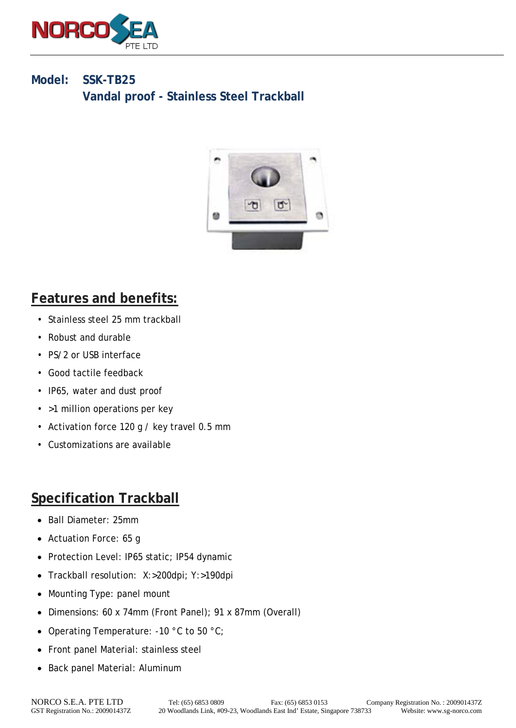

#### **Model: SSK-TB25 Vandal proof - Stainless Steel Trackball**



## **Features and benefits:**

- Stainless steel 25 mm trackball
- Robust and durable
- PS/2 or USB interface
- Good tactile feedback
- IP65, water and dust proof
- >1 million operations per key
- Activation force 120 g / key travel 0.5 mm
- Customizations are available

## **Specification Trackball**

- Ball Diameter: 25mm
- Actuation Force: 65 g
- Protection Level: IP65 static; IP54 dynamic
- Trackball resolution: X:>200dpi; Y:>190dpi
- Mounting Type: panel mount
- Dimensions: 60 x 74mm (Front Panel); 91 x 87mm (Overall)
- Operating Temperature: -10 °C to 50 °C;
- Front panel Material: stainless steel
- Back panel Material: Aluminum